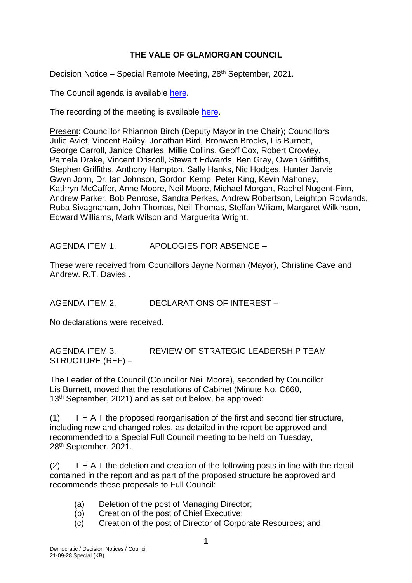## **THE VALE OF GLAMORGAN COUNCIL**

Decision Notice - Special Remote Meeting, 28<sup>th</sup> September, 2021.

The Council agenda is available [here.](https://www.valeofglamorgan.gov.uk/en/our_council/Council-Structure/minutes,_agendas_and_reports/agendas/council/2021/21-09-28.aspx)

The recording of the meeting is available [here.](https://www.youtube.com/watch?v=jUJoeVQRHg8&list=PLzt4i14pgqIFIu5GcsMs1g6b5IUR90m5d&index=1)

Present: Councillor Rhiannon Birch (Deputy Mayor in the Chair); Councillors Julie Aviet, Vincent Bailey, Jonathan Bird, Bronwen Brooks, Lis Burnett, George Carroll, Janice Charles, Millie Collins, Geoff Cox, Robert Crowley, Pamela Drake, Vincent Driscoll, Stewart Edwards, Ben Gray, Owen Griffiths, Stephen Griffiths, Anthony Hampton, Sally Hanks, Nic Hodges, Hunter Jarvie, Gwyn John, Dr. Ian Johnson, Gordon Kemp, Peter King, Kevin Mahoney, Kathryn McCaffer, Anne Moore, Neil Moore, Michael Morgan, Rachel Nugent-Finn, Andrew Parker, Bob Penrose, Sandra Perkes, Andrew Robertson, Leighton Rowlands, Ruba Sivagnanam, John Thomas, Neil Thomas, Steffan Wiliam, Margaret Wilkinson, Edward Williams, Mark Wilson and Marguerita Wright.

AGENDA ITEM 1. APOLOGIES FOR ABSENCE –

These were received from Councillors Jayne Norman (Mayor), Christine Cave and Andrew. R.T. Davies .

AGENDA ITEM 2. DECLARATIONS OF INTEREST –

No declarations were received.

AGENDA ITEM 3. REVIEW OF STRATEGIC LEADERSHIP TEAM STRUCTURE (REF) –

The Leader of the Council (Councillor Neil Moore), seconded by Councillor Lis Burnett, moved that the resolutions of Cabinet (Minute No. C660, 13<sup>th</sup> September, 2021) and as set out below, be approved:

(1) T H A T the proposed reorganisation of the first and second tier structure, including new and changed roles, as detailed in the report be approved and recommended to a Special Full Council meeting to be held on Tuesday, 28th September, 2021.

(2) T H A T the deletion and creation of the following posts in line with the detail contained in the report and as part of the proposed structure be approved and recommends these proposals to Full Council:

- (a) Deletion of the post of Managing Director;
- (b) Creation of the post of Chief Executive;
- (c) Creation of the post of Director of Corporate Resources; and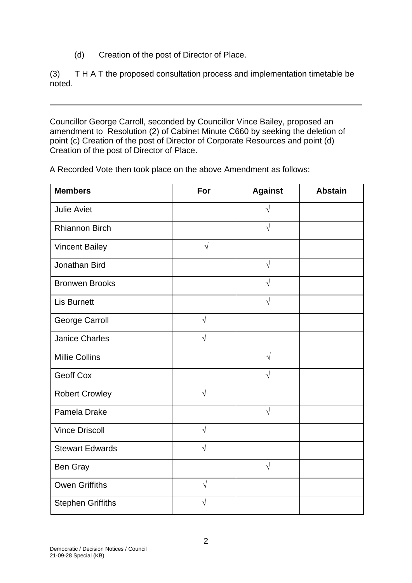(d) Creation of the post of Director of Place.

(3) T H A T the proposed consultation process and implementation timetable be noted.

Councillor George Carroll, seconded by Councillor Vince Bailey, proposed an amendment to Resolution (2) of Cabinet Minute C660 by seeking the deletion of point (c) Creation of the post of Director of Corporate Resources and point (d) Creation of the post of Director of Place.

A Recorded Vote then took place on the above Amendment as follows:

| <b>Members</b>           | For        | <b>Against</b> | <b>Abstain</b> |
|--------------------------|------------|----------------|----------------|
| <b>Julie Aviet</b>       |            | $\sqrt{}$      |                |
| <b>Rhiannon Birch</b>    |            | $\sqrt{ }$     |                |
| <b>Vincent Bailey</b>    | $\sqrt{}$  |                |                |
| Jonathan Bird            |            | $\sqrt{}$      |                |
| <b>Bronwen Brooks</b>    |            | $\sqrt{ }$     |                |
| <b>Lis Burnett</b>       |            | $\sqrt{}$      |                |
| <b>George Carroll</b>    | $\sqrt{ }$ |                |                |
| <b>Janice Charles</b>    | $\sqrt{}$  |                |                |
| <b>Millie Collins</b>    |            | $\sqrt{ }$     |                |
| <b>Geoff Cox</b>         |            | $\sqrt{}$      |                |
| <b>Robert Crowley</b>    | $\sqrt{2}$ |                |                |
| Pamela Drake             |            | $\sqrt{}$      |                |
| <b>Vince Driscoll</b>    | $\sqrt{2}$ |                |                |
| <b>Stewart Edwards</b>   | $\sqrt{ }$ |                |                |
| Ben Gray                 |            | $\sqrt{ }$     |                |
| <b>Owen Griffiths</b>    | $\sqrt{}$  |                |                |
| <b>Stephen Griffiths</b> |            |                |                |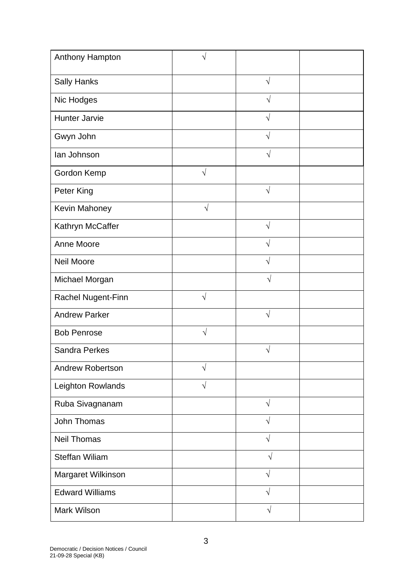| Anthony Hampton         | V          |            |  |
|-------------------------|------------|------------|--|
| <b>Sally Hanks</b>      |            | $\sqrt{}$  |  |
| Nic Hodges              |            | V          |  |
| Hunter Jarvie           |            | $\sqrt{}$  |  |
| Gwyn John               |            | $\sqrt{ }$ |  |
| lan Johnson             |            | $\sqrt{}$  |  |
| Gordon Kemp             | $\sqrt{}$  |            |  |
| Peter King              |            | $\sqrt{ }$ |  |
| Kevin Mahoney           | $\sqrt{ }$ |            |  |
| Kathryn McCaffer        |            | $\sqrt{ }$ |  |
| Anne Moore              |            | V          |  |
| <b>Neil Moore</b>       |            | V          |  |
| Michael Morgan          |            | $\sqrt{}$  |  |
| Rachel Nugent-Finn      | $\sqrt{}$  |            |  |
| <b>Andrew Parker</b>    |            | $\sqrt{ }$ |  |
| <b>Bob Penrose</b>      | $\sqrt{ }$ |            |  |
| <b>Sandra Perkes</b>    |            | $\sqrt{}$  |  |
| <b>Andrew Robertson</b> | V          |            |  |
| Leighton Rowlands       | $\sqrt{}$  |            |  |
| Ruba Sivagnanam         |            | $\sqrt{2}$ |  |
| John Thomas             |            | $\sqrt{}$  |  |
| <b>Neil Thomas</b>      |            | $\sqrt{}$  |  |
| <b>Steffan Wiliam</b>   |            | $\sqrt{ }$ |  |
| Margaret Wilkinson      |            | $\sqrt{}$  |  |
| <b>Edward Williams</b>  |            | $\sqrt{}$  |  |
| Mark Wilson             |            | $\sqrt{}$  |  |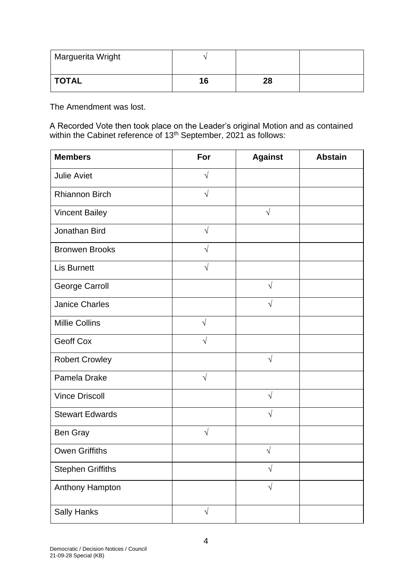| Marguerita Wright |    |    |  |
|-------------------|----|----|--|
| <b>TOTAL</b>      | 16 | 28 |  |

The Amendment was lost.

A Recorded Vote then took place on the Leader's original Motion and as contained within the Cabinet reference of 13<sup>th</sup> September, 2021 as follows:

| <b>Members</b>           | For        | <b>Against</b> | <b>Abstain</b> |
|--------------------------|------------|----------------|----------------|
| <b>Julie Aviet</b>       | $\sqrt{ }$ |                |                |
| <b>Rhiannon Birch</b>    | $\sqrt{ }$ |                |                |
| <b>Vincent Bailey</b>    |            | $\sqrt{}$      |                |
| Jonathan Bird            | $\sqrt{ }$ |                |                |
| <b>Bronwen Brooks</b>    | $\sqrt{ }$ |                |                |
| <b>Lis Burnett</b>       | $\sqrt{}$  |                |                |
| <b>George Carroll</b>    |            | $\sqrt{ }$     |                |
| <b>Janice Charles</b>    |            | $\sqrt{}$      |                |
| <b>Millie Collins</b>    | $\sqrt{ }$ |                |                |
| <b>Geoff Cox</b>         | $\sqrt{ }$ |                |                |
| <b>Robert Crowley</b>    |            | $\sqrt{ }$     |                |
| Pamela Drake             | $\sqrt{}$  |                |                |
| <b>Vince Driscoll</b>    |            | $\sqrt{ }$     |                |
| <b>Stewart Edwards</b>   |            | $\sqrt{}$      |                |
| Ben Gray                 | $\sqrt{ }$ |                |                |
| <b>Owen Griffiths</b>    |            | V              |                |
| <b>Stephen Griffiths</b> |            | $\sqrt{ }$     |                |
| Anthony Hampton          |            | $\sqrt{}$      |                |
| <b>Sally Hanks</b>       | $\sqrt{}$  |                |                |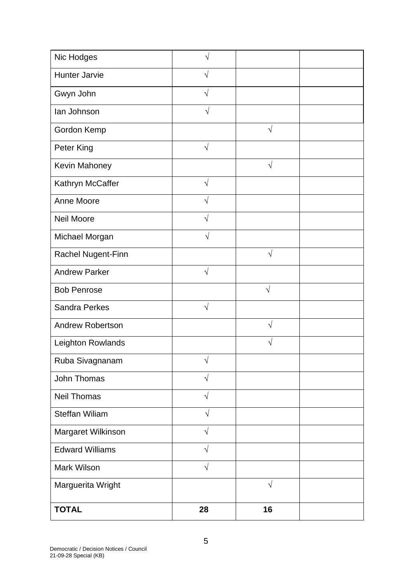| Nic Hodges              | $\sqrt{}$  |            |  |
|-------------------------|------------|------------|--|
| <b>Hunter Jarvie</b>    | $\sqrt{2}$ |            |  |
| Gwyn John               | $\sqrt{ }$ |            |  |
| lan Johnson             | $\sqrt{}$  |            |  |
| Gordon Kemp             |            | $\sqrt{}$  |  |
| Peter King              | $\sqrt{}$  |            |  |
| Kevin Mahoney           |            | $\sqrt{}$  |  |
| Kathryn McCaffer        | $\sqrt{2}$ |            |  |
| Anne Moore              | $\sqrt{ }$ |            |  |
| Neil Moore              | V          |            |  |
| Michael Morgan          | $\sqrt{}$  |            |  |
| Rachel Nugent-Finn      |            | $\sqrt{}$  |  |
| <b>Andrew Parker</b>    | $\sqrt{}$  |            |  |
| <b>Bob Penrose</b>      |            | $\sqrt{ }$ |  |
| <b>Sandra Perkes</b>    | $\sqrt{ }$ |            |  |
| <b>Andrew Robertson</b> |            | $\sqrt{}$  |  |
| Leighton Rowlands       |            | V          |  |
| Ruba Sivagnanam         | $\sqrt{}$  |            |  |
| John Thomas             | $\sqrt{2}$ |            |  |
| <b>Neil Thomas</b>      | $\sqrt{ }$ |            |  |
| Steffan Wiliam          | $\sqrt{}$  |            |  |
| Margaret Wilkinson      | $\sqrt{2}$ |            |  |
| <b>Edward Williams</b>  | $\sqrt{2}$ |            |  |
| <b>Mark Wilson</b>      | $\sqrt{}$  |            |  |
| Marguerita Wright       |            | $\sqrt{ }$ |  |
| <b>TOTAL</b>            | 28         | 16         |  |